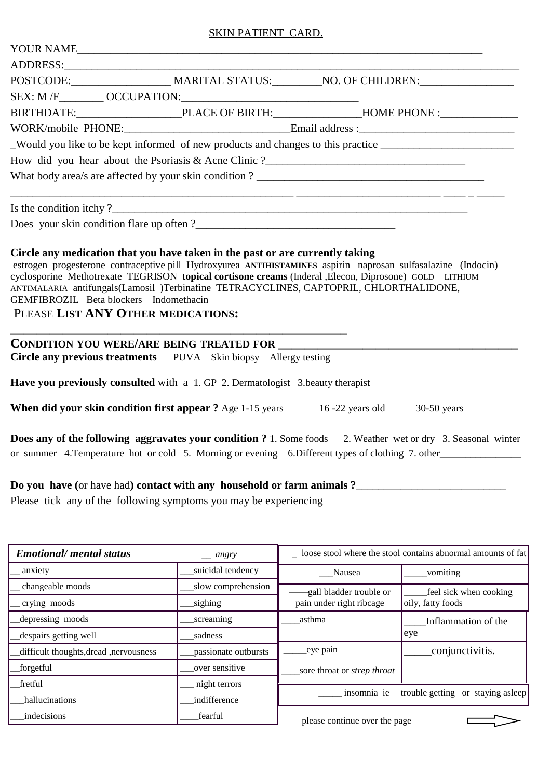## SKIN PATIENT CARD.

|                                                                              | Would you like to be kept informed of new products and changes to this practice ____________________                                                                                                                                                                                                             |  |  |  |  |  |  |  |
|------------------------------------------------------------------------------|------------------------------------------------------------------------------------------------------------------------------------------------------------------------------------------------------------------------------------------------------------------------------------------------------------------|--|--|--|--|--|--|--|
|                                                                              |                                                                                                                                                                                                                                                                                                                  |  |  |  |  |  |  |  |
|                                                                              |                                                                                                                                                                                                                                                                                                                  |  |  |  |  |  |  |  |
|                                                                              |                                                                                                                                                                                                                                                                                                                  |  |  |  |  |  |  |  |
|                                                                              |                                                                                                                                                                                                                                                                                                                  |  |  |  |  |  |  |  |
| GEMFIBROZIL Beta blockers Indomethacin<br>PLEASE LIST ANY OTHER MEDICATIONS: | estrogen progesterone contraceptive pill Hydroxyurea ANTIHISTAMINES aspirin naprosan sulfasalazine (Indocin)<br>cyclosporine Methotrexate TEGRISON topical cortisone creams (Inderal , Elecon, Diprosone) GOLD LITHIUM<br>ANTIMALARIA antifungals(Lamosil )Terbinafine TETRACYCLINES, CAPTOPRIL, CHLORTHALIDONE, |  |  |  |  |  |  |  |
|                                                                              | <b>CONDITION YOU WERE/ARE BEING TREATED FOR</b>                                                                                                                                                                                                                                                                  |  |  |  |  |  |  |  |
|                                                                              | Circle any previous treatments PUVA Skin biopsy Allergy testing                                                                                                                                                                                                                                                  |  |  |  |  |  |  |  |
|                                                                              | Have you previously consulted with a 1. GP 2. Dermatologist 3. beauty therapist                                                                                                                                                                                                                                  |  |  |  |  |  |  |  |
|                                                                              | <b>When did your skin condition first appear ?</b> Age 1-15 years 16 -22 years old 30-50 years                                                                                                                                                                                                                   |  |  |  |  |  |  |  |
|                                                                              | <b>Does any of the following aggravates your condition?</b> 1. Some foods 2. Weather wet or dry 3. Seasonal winter<br>or summer 4. Temperature hot or cold 5. Morning or evening 6. Different types of clothing 7. other                                                                                         |  |  |  |  |  |  |  |

**Do you have (**or have had**) contact with any household or farm animals ?**\_\_\_\_\_\_\_\_\_\_\_\_\_\_\_\_\_\_\_\_\_\_\_\_\_\_\_

Please tick any of the following symptoms you may be experiencing

| <b>Emotional/</b> mental status<br>$\equiv$ angry |                      | loose stool where the stool contains abnormal amounts of fat |                                   |  |
|---------------------------------------------------|----------------------|--------------------------------------------------------------|-----------------------------------|--|
| anxiety                                           | suicidal tendency    | Nausea                                                       | vomiting                          |  |
| changeable moods                                  | slow comprehension   | -gall bladder trouble or                                     | feel sick when cooking            |  |
| crying moods                                      | sighing              | pain under right ribcage                                     | oily, fatty foods                 |  |
| depressing moods                                  | screaming            | asthma                                                       | Inflammation of the               |  |
| despairs getting well                             | sadness              |                                                              | eye                               |  |
| difficult thoughts, dread, nervousness            | passionate outbursts | eye pain                                                     | conjunctivitis.                   |  |
| forgetful                                         | over sensitive       | sore throat or <i>strep</i> throat                           |                                   |  |
| fretful                                           | night terrors        |                                                              |                                   |  |
| hallucinations                                    | indifference         | insomnia ie                                                  | trouble getting or staying asleep |  |
| indecisions                                       | fearful              | please continue over the page                                |                                   |  |